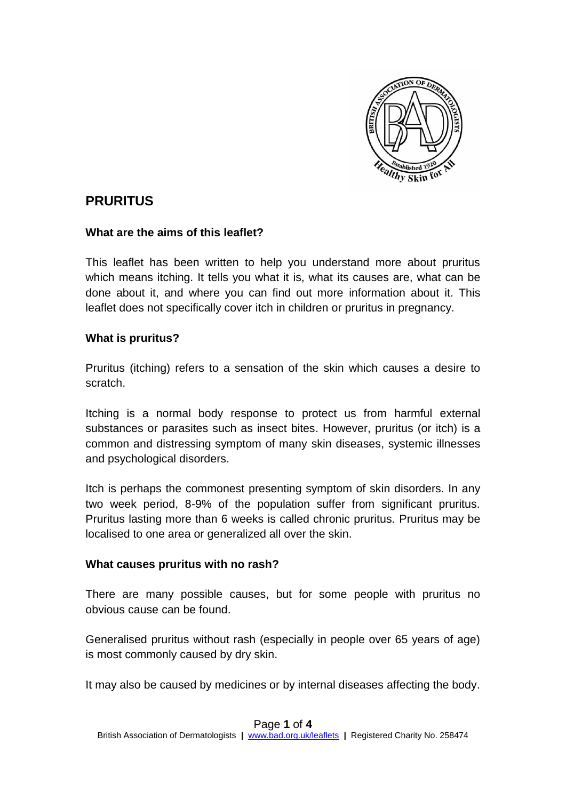

# **PRURITUS**

#### **What are the aims of this leaflet?**

This leaflet has been written to help you understand more about pruritus which means itching. It tells you what it is, what its causes are, what can be done about it, and where you can find out more information about it. This leaflet does not specifically cover itch in children or pruritus in pregnancy.

#### **What is pruritus?**

Pruritus (itching) refers to a sensation of the skin which causes a desire to scratch.

Itching is a normal body response to protect us from harmful external substances or parasites such as insect bites. However, pruritus (or itch) is a common and distressing symptom of many skin diseases, systemic illnesses and psychological disorders.

Itch is perhaps the commonest presenting symptom of skin disorders. In any two week period, 8-9% of the population suffer from significant pruritus. Pruritus lasting more than 6 weeks is called chronic pruritus. Pruritus may be localised to one area or generalized all over the skin.

#### **What causes pruritus with no rash?**

There are many possible causes, but for some people with pruritus no obvious cause can be found.

Generalised pruritus without rash (especially in people over 65 years of age) is most commonly caused by dry skin.

It may also be caused by medicines or by internal diseases affecting the body.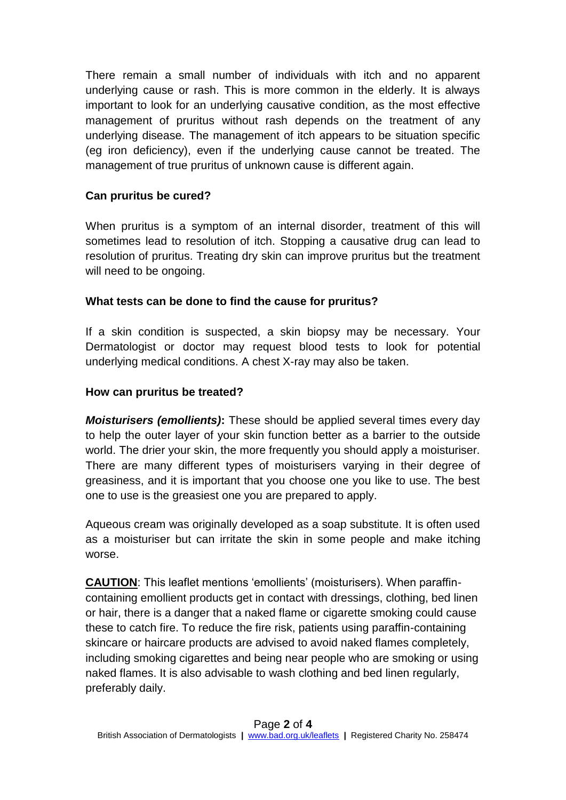There remain a small number of individuals with itch and no apparent underlying cause or rash. This is more common in the elderly. It is always important to look for an underlying causative condition, as the most effective management of pruritus without rash depends on the treatment of any underlying disease. The management of itch appears to be situation specific (eg iron deficiency), even if the underlying cause cannot be treated. The management of true pruritus of unknown cause is different again.

## **Can pruritus be cured?**

When pruritus is a symptom of an internal disorder, treatment of this will sometimes lead to resolution of itch. Stopping a causative drug can lead to resolution of pruritus. Treating dry skin can improve pruritus but the treatment will need to be ongoing.

## **What tests can be done to find the cause for pruritus?**

If a skin condition is suspected, a skin biopsy may be necessary. Your Dermatologist or doctor may request blood tests to look for potential underlying medical conditions. A chest X-ray may also be taken.

## **How can pruritus be treated?**

*Moisturisers (emollients)***:** These should be applied several times every day to help the outer layer of your skin function better as a barrier to the outside world. The drier your skin, the more frequently you should apply a moisturiser. There are many different types of moisturisers varying in their degree of greasiness, and it is important that you choose one you like to use. The best one to use is the greasiest one you are prepared to apply.

Aqueous cream was originally developed as a soap substitute. It is often used as a moisturiser but can irritate the skin in some people and make itching worse.

**CAUTION**: This leaflet mentions 'emollients' (moisturisers). When paraffincontaining emollient products get in contact with dressings, clothing, bed linen or hair, there is a danger that a naked flame or cigarette smoking could cause these to catch fire. To reduce the fire risk, patients using paraffin-containing skincare or haircare products are advised to avoid naked flames completely, including smoking cigarettes and being near people who are smoking or using naked flames. It is also advisable to wash clothing and bed linen regularly, preferably daily.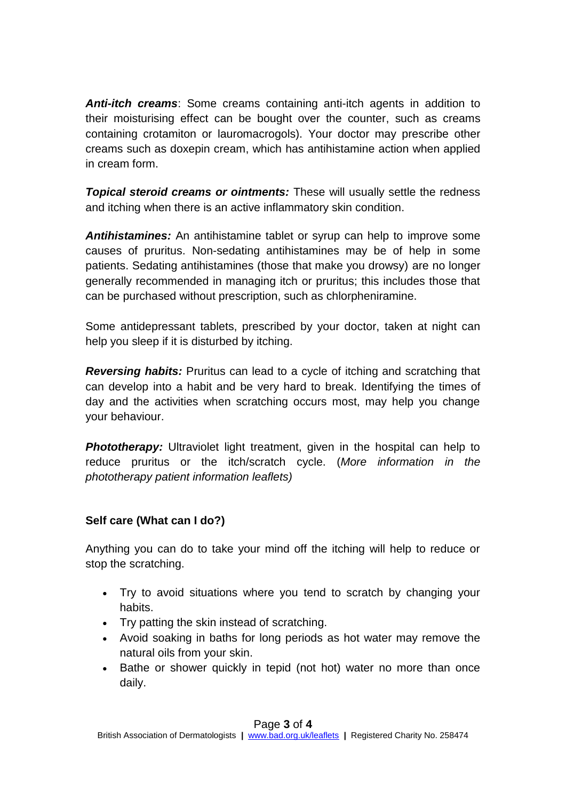*Anti-itch creams*: Some creams containing anti-itch agents in addition to their moisturising effect can be bought over the counter, such as creams containing crotamiton or lauromacrogols). Your doctor may prescribe other creams such as doxepin cream, which has antihistamine action when applied in cream form.

*Topical steroid creams or ointments:* These will usually settle the redness and itching when there is an active inflammatory skin condition.

*Antihistamines:* An antihistamine tablet or syrup can help to improve some causes of pruritus. Non-sedating antihistamines may be of help in some patients. Sedating antihistamines (those that make you drowsy) are no longer generally recommended in managing itch or pruritus; this includes those that can be purchased without prescription, such as chlorpheniramine.

Some antidepressant tablets, prescribed by your doctor, taken at night can help you sleep if it is disturbed by itching.

*Reversing habits:* Pruritus can lead to a cycle of itching and scratching that can develop into a habit and be very hard to break. Identifying the times of day and the activities when scratching occurs most, may help you change your behaviour.

**Phototherapy:** Ultraviolet light treatment, given in the hospital can help to reduce pruritus or the itch/scratch cycle. (*More information in the phototherapy patient information leaflets)*

## **Self care (What can I do?)**

Anything you can do to take your mind off the itching will help to reduce or stop the scratching.

- Try to avoid situations where you tend to scratch by changing your habits.
- Try patting the skin instead of scratching.
- Avoid soaking in baths for long periods as hot water may remove the natural oils from your skin.
- Bathe or shower quickly in tepid (not hot) water no more than once daily.